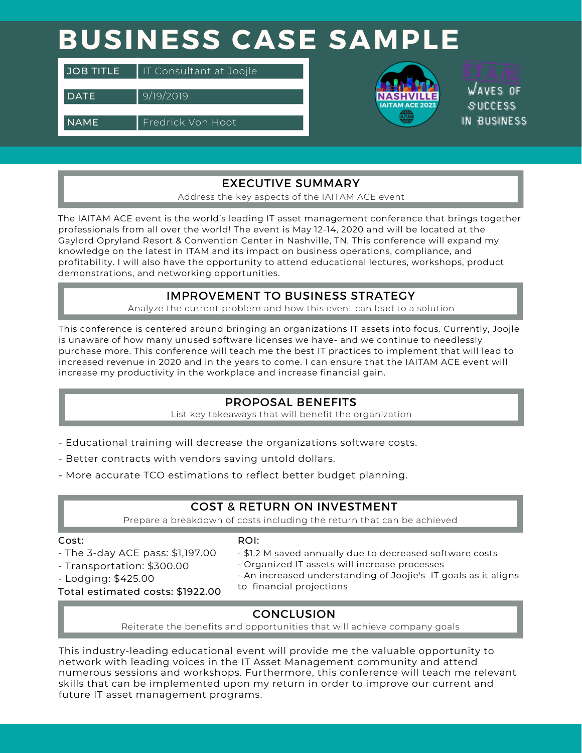# **BUSINESS CASE SAMPLE**

| <b>JOB TITLE</b> | IT Consultant at Joojle  |
|------------------|--------------------------|
| <b>DATE</b>      | 9/19/2019                |
| <b>NAME</b>      | <b>Fredrick Von Hoot</b> |



**WAVES DE SUCCESS** IN BUSINESS

Consultancy

### EXECUTIVE SUMMARY

Address the key aspects of the IAITAM ACE event

The IAITAM ACE event is the world's leading IT asset management conference that brings together professionals from all over the world! The event is May 12-14, 2020 and will be located at the Gaylord Opryland Resort & Convention Center in Nashville, TN. This conference will expand my knowledge on the latest in ITAM and its impact on business operations, compliance, and profitability. I will also have the opportunity to attend educational lectures, workshops, product demonstrations, and networking opportunities.

### IMPROVEMENT TO BUSINESS STRATEGY

Analyze the current problem and how this event can lead to a solution

INVOICE NUMBER: 12345 elizabethmoore.com This conference is centered around bringing an organizations IT assets into focus. Currently, Joojle is unaware of how many unused software licenses we have- and we continue to needlessly purchase more. This conference will teach me the best IT practices to implement that will lead to increased revenue in 2020 and in the years to come. I can ensure that the IAITAM ACE event will increase my productivity in the workplace and increase financial gain.

#### **DESCRIPTIONS IN A PROPOSAL BENEFITS**

List key takeaways that will benefit the organization

- Educational training will decrease the organizations software costs.
- Better contracts with vendors saving untold dollars.
- More accurate TCO estimations to reflect better budget planning.

### **BANKLE COST & RETURN ON INVESTMENT**

Prepare a breakdown of costs including the return that can be achieved

#### Cost:

#### ROI:

- cost.<br>- The 3-day ACE pass: \$1,197.00
- Transportation: \$300.00
- Lodging: \$425.00
- 18 May 2019 **2995 USD** \$1.2 M saved annually due to decreased software costs
- Organized IT assets will increase processes
- An increased understanding of Joojie's IT goals as it aligns
- Total estimated costs: \$1922.00
- to financial projections

### **CONCLUSION**

Reiterate the benefits and opportunities that will achieve company goals

network with leading voices in the IT Asset Management community and attend This industry-leading educational event will provide me the valuable opportunity to numerous sessions and workshops. Furthermore, this conference will teach me relevant skills that can be implemented upon my return in order to improve our current and future IT asset management programs.